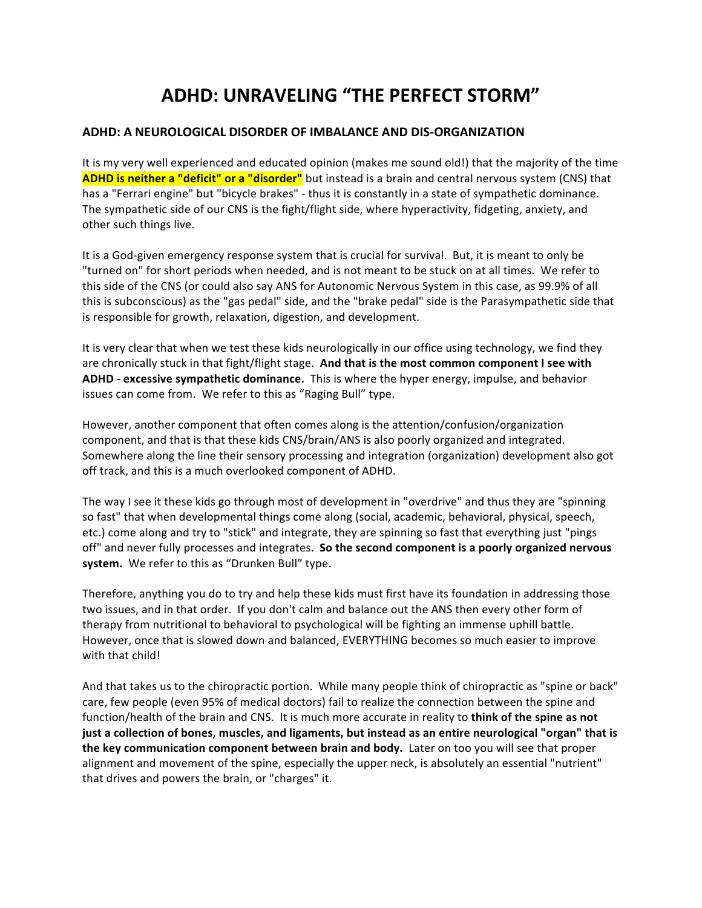# **ADHD: UNRAVELING "THE PERFECT STORM"**

## **ADHD: A NEUROLOGICAL DISORDER OF IMBALANCE AND DIS-ORGANIZATION**

It is my very well experienced and educated opinion (makes me sound old!) that the majority of the time **ADHD** is neither a "deficit" or a "disorder" but instead is a brain and central nervous system (CNS) that has a "Ferrari engine" but "bicycle brakes" - thus it is constantly in a state of sympathetic dominance. The sympathetic side of our CNS is the fight/flight side, where hyperactivity, fidgeting, anxiety, and other such things live.

It is a God-given emergency response system that is crucial for survival. But, it is meant to only be "turned on" for short periods when needed, and is not meant to be stuck on at all times. We refer to this side of the CNS (or could also say ANS for Autonomic Nervous System in this case, as 99.9% of all this is subconscious) as the "gas pedal" side, and the "brake pedal" side is the Parasympathetic side that is responsible for growth, relaxation, digestion, and development.

It is very clear that when we test these kids neurologically in our office using technology, we find they are chronically stuck in that fight/flight stage. And that is the most common component I see with ADHD - excessive sympathetic dominance. This is where the hyper energy, impulse, and behavior issues can come from. We refer to this as "Raging Bull" type.

However, another component that often comes along is the attention/confusion/organization component, and that is that these kids CNS/brain/ANS is also poorly organized and integrated. Somewhere along the line their sensory processing and integration (organization) development also got off track, and this is a much overlooked component of ADHD.

The way I see it these kids go through most of development in "overdrive" and thus they are "spinning so fast" that when developmental things come along (social, academic, behavioral, physical, speech, etc.) come along and try to "stick" and integrate, they are spinning so fast that everything just "pings off" and never fully processes and integrates. So the second component is a poorly organized nervous system. We refer to this as "Drunken Bull" type.

Therefore, anything you do to try and help these kids must first have its foundation in addressing those two issues, and in that order. If you don't calm and balance out the ANS then every other form of therapy from nutritional to behavioral to psychological will be fighting an immense uphill battle. However, once that is slowed down and balanced, EVERYTHING becomes so much easier to improve with that child!

And that takes us to the chiropractic portion. While many people think of chiropractic as "spine or back" care, few people (even 95% of medical doctors) fail to realize the connection between the spine and function/health of the brain and CNS. It is much more accurate in reality to think of the spine as not just a collection of bones, muscles, and ligaments, but instead as an entire neurological "organ" that is **the key communication component between brain and body.** Later on too you will see that proper alignment and movement of the spine, especially the upper neck, is absolutely an essential "nutrient" that drives and powers the brain, or "charges" it.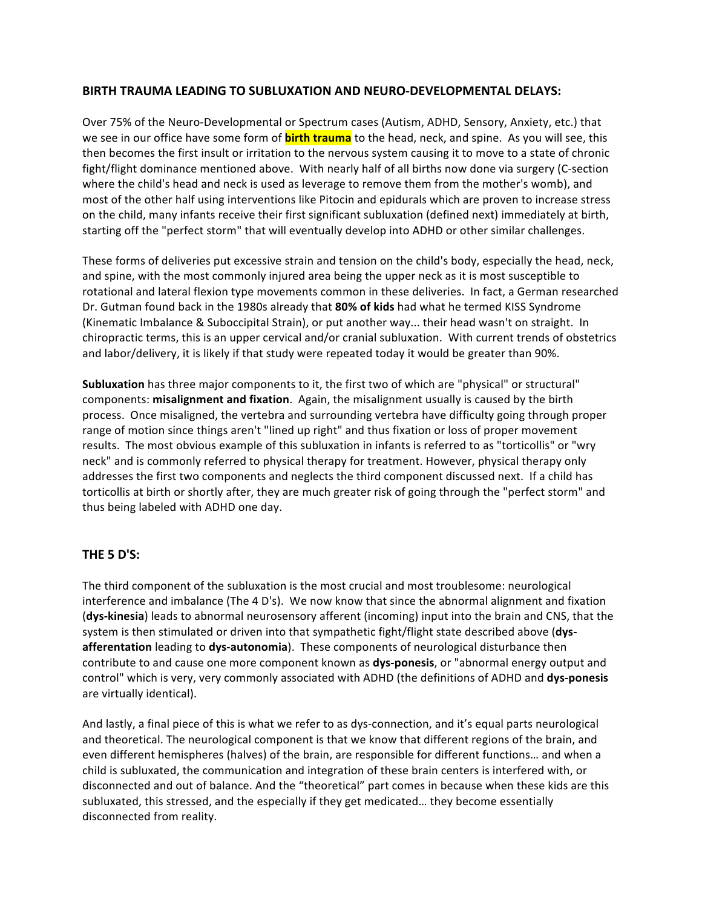### **BIRTH TRAUMA LEADING TO SUBLUXATION AND NEURO-DEVELOPMENTAL DELAYS:**

Over 75% of the Neuro-Developmental or Spectrum cases (Autism, ADHD, Sensory, Anxiety, etc.) that we see in our office have some form of **birth trauma** to the head, neck, and spine. As you will see, this then becomes the first insult or irritation to the nervous system causing it to move to a state of chronic fight/flight dominance mentioned above. With nearly half of all births now done via surgery (C-section where the child's head and neck is used as leverage to remove them from the mother's womb), and most of the other half using interventions like Pitocin and epidurals which are proven to increase stress on the child, many infants receive their first significant subluxation (defined next) immediately at birth, starting off the "perfect storm" that will eventually develop into ADHD or other similar challenges.

These forms of deliveries put excessive strain and tension on the child's body, especially the head, neck, and spine, with the most commonly injured area being the upper neck as it is most susceptible to rotational and lateral flexion type movements common in these deliveries. In fact, a German researched Dr. Gutman found back in the 1980s already that 80% of kids had what he termed KISS Syndrome (Kinematic Imbalance & Suboccipital Strain), or put another way... their head wasn't on straight. In chiropractic terms, this is an upper cervical and/or cranial subluxation. With current trends of obstetrics and labor/delivery, it is likely if that study were repeated today it would be greater than 90%.

**Subluxation** has three major components to it, the first two of which are "physical" or structural" components: **misalignment and fixation**. Again, the misalignment usually is caused by the birth process. Once misaligned, the vertebra and surrounding vertebra have difficulty going through proper range of motion since things aren't "lined up right" and thus fixation or loss of proper movement results. The most obvious example of this subluxation in infants is referred to as "torticollis" or "wry neck" and is commonly referred to physical therapy for treatment. However, physical therapy only addresses the first two components and neglects the third component discussed next. If a child has torticollis at birth or shortly after, they are much greater risk of going through the "perfect storm" and thus being labeled with ADHD one day.

## **THE 5 D'S:**

The third component of the subluxation is the most crucial and most troublesome: neurological interference and imbalance (The 4 D's). We now know that since the abnormal alignment and fixation **(dys-kinesia)** leads to abnormal neurosensory afferent (incoming) input into the brain and CNS, that the system is then stimulated or driven into that sympathetic fight/flight state described above (dys**afferentation** leading to **dys-autonomia**). These components of neurological disturbance then contribute to and cause one more component known as **dys-ponesis**, or "abnormal energy output and control" which is very, very commonly associated with ADHD (the definitions of ADHD and dys-ponesis are virtually identical).

And lastly, a final piece of this is what we refer to as dys-connection, and it's equal parts neurological and theoretical. The neurological component is that we know that different regions of the brain, and even different hemispheres (halves) of the brain, are responsible for different functions... and when a child is subluxated, the communication and integration of these brain centers is interfered with, or disconnected and out of balance. And the "theoretical" part comes in because when these kids are this subluxated, this stressed, and the especially if they get medicated... they become essentially disconnected from reality.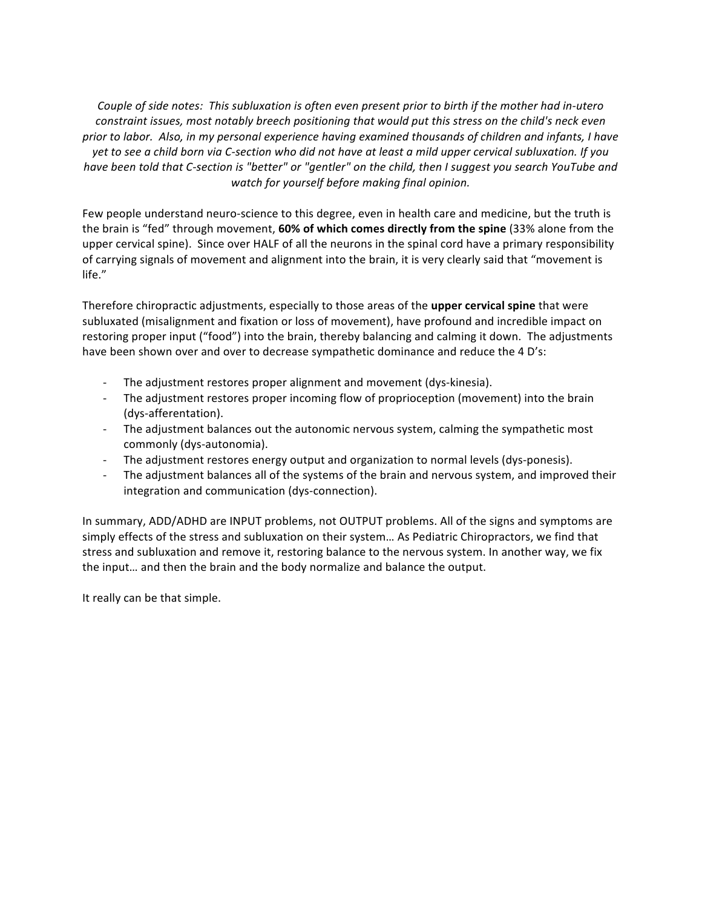*Couple of side notes: This subluxation is often even present prior to birth if the mother had in-utero constraint issues, most notably breech positioning that would put this stress on the child's neck even prior* to labor. Also, in my personal experience having examined thousands of children and infants, I have yet to see a child born via C-section who did not have at least a mild upper cervical subluxation. If you *have been told that C-section is "better" or "gentler" on the child, then I suggest you search YouTube and watch for yourself before making final opinion.*

Few people understand neuro-science to this degree, even in health care and medicine, but the truth is the brain is "fed" through movement, **60% of which comes directly from the spine** (33% alone from the upper cervical spine). Since over HALF of all the neurons in the spinal cord have a primary responsibility of carrying signals of movement and alignment into the brain, it is very clearly said that "movement is life." 

Therefore chiropractic adjustments, especially to those areas of the **upper cervical spine** that were subluxated (misalignment and fixation or loss of movement), have profound and incredible impact on restoring proper input ("food") into the brain, thereby balancing and calming it down. The adjustments have been shown over and over to decrease sympathetic dominance and reduce the 4 D's:

- The adjustment restores proper alignment and movement (dys-kinesia).
- The adjustment restores proper incoming flow of proprioception (movement) into the brain (dys-afferentation).
- The adjustment balances out the autonomic nervous system, calming the sympathetic most commonly (dys-autonomia).
- The adjustment restores energy output and organization to normal levels (dys-ponesis).
- The adjustment balances all of the systems of the brain and nervous system, and improved their integration and communication (dys-connection).

In summary, ADD/ADHD are INPUT problems, not OUTPUT problems. All of the signs and symptoms are simply effects of the stress and subluxation on their system... As Pediatric Chiropractors, we find that stress and subluxation and remove it, restoring balance to the nervous system. In another way, we fix the input... and then the brain and the body normalize and balance the output.

It really can be that simple.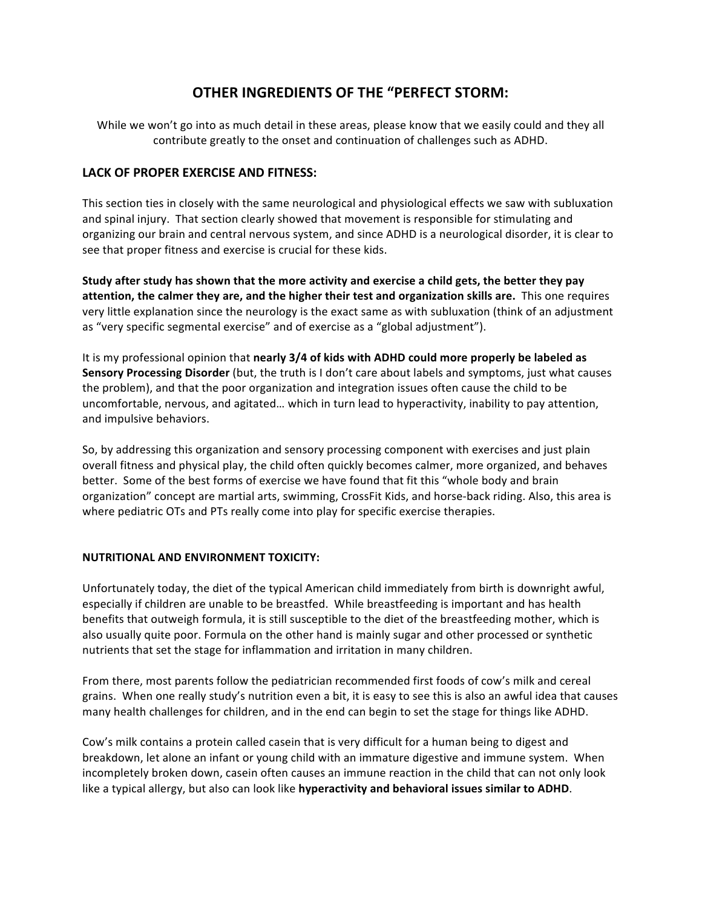# **OTHER INGREDIENTS OF THE "PERFECT STORM:**

While we won't go into as much detail in these areas, please know that we easily could and they all contribute greatly to the onset and continuation of challenges such as ADHD.

### LACK OF PROPER EXERCISE AND FITNESS:

This section ties in closely with the same neurological and physiological effects we saw with subluxation and spinal injury. That section clearly showed that movement is responsible for stimulating and organizing our brain and central nervous system, and since ADHD is a neurological disorder, it is clear to see that proper fitness and exercise is crucial for these kids.

**Study after study has shown that the more activity and exercise a child gets, the better they pay** attention, the calmer they are, and the higher their test and organization skills are. This one requires very little explanation since the neurology is the exact same as with subluxation (think of an adjustment as "very specific segmental exercise" and of exercise as a "global adjustment").

It is my professional opinion that **nearly 3/4 of kids with ADHD could more properly be labeled as Sensory Processing Disorder** (but, the truth is I don't care about labels and symptoms, just what causes the problem), and that the poor organization and integration issues often cause the child to be uncomfortable, nervous, and agitated... which in turn lead to hyperactivity, inability to pay attention, and impulsive behaviors.

So, by addressing this organization and sensory processing component with exercises and just plain overall fitness and physical play, the child often quickly becomes calmer, more organized, and behaves better. Some of the best forms of exercise we have found that fit this "whole body and brain organization" concept are martial arts, swimming, CrossFit Kids, and horse-back riding. Also, this area is where pediatric OTs and PTs really come into play for specific exercise therapies.

### **NUTRITIONAL AND ENVIRONMENT TOXICITY:**

Unfortunately today, the diet of the typical American child immediately from birth is downright awful, especially if children are unable to be breastfed. While breastfeeding is important and has health benefits that outweigh formula, it is still susceptible to the diet of the breastfeeding mother, which is also usually quite poor. Formula on the other hand is mainly sugar and other processed or synthetic nutrients that set the stage for inflammation and irritation in many children.

From there, most parents follow the pediatrician recommended first foods of cow's milk and cereal grains. When one really study's nutrition even a bit, it is easy to see this is also an awful idea that causes many health challenges for children, and in the end can begin to set the stage for things like ADHD.

Cow's milk contains a protein called casein that is very difficult for a human being to digest and breakdown, let alone an infant or young child with an immature digestive and immune system. When incompletely broken down, casein often causes an immune reaction in the child that can not only look like a typical allergy, but also can look like **hyperactivity and behavioral issues similar to ADHD**.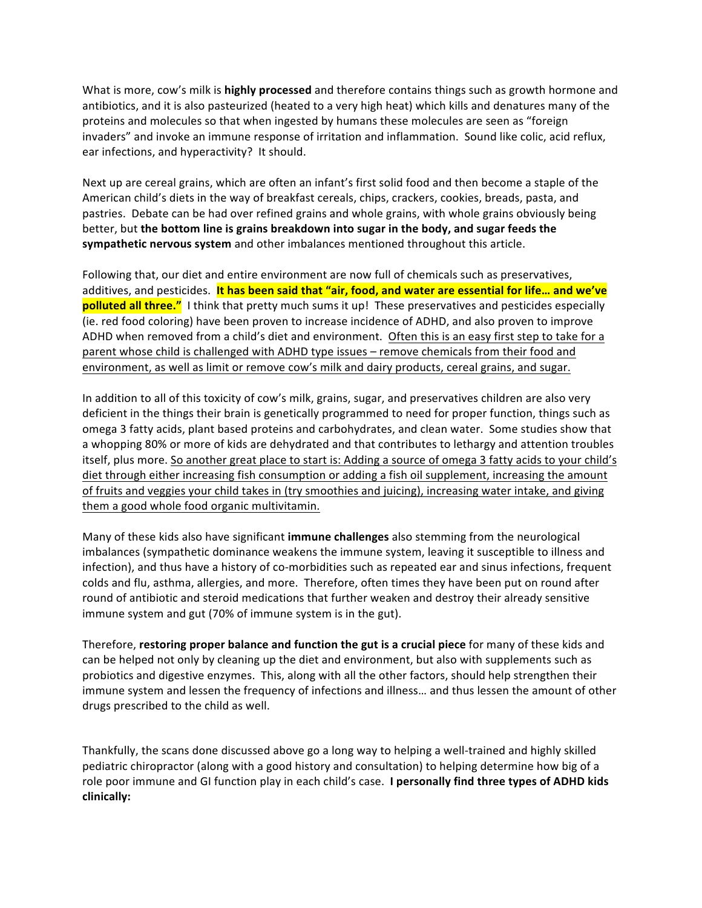What is more, cow's milk is **highly processed** and therefore contains things such as growth hormone and antibiotics, and it is also pasteurized (heated to a very high heat) which kills and denatures many of the proteins and molecules so that when ingested by humans these molecules are seen as "foreign invaders" and invoke an immune response of irritation and inflammation. Sound like colic, acid reflux, ear infections, and hyperactivity? It should.

Next up are cereal grains, which are often an infant's first solid food and then become a staple of the American child's diets in the way of breakfast cereals, chips, crackers, cookies, breads, pasta, and pastries. Debate can be had over refined grains and whole grains, with whole grains obviously being better, but the bottom line is grains breakdown into sugar in the body, and sugar feeds the **sympathetic nervous system** and other imbalances mentioned throughout this article.

Following that, our diet and entire environment are now full of chemicals such as preservatives, additives, and pesticides. It has been said that "air, food, and water are essential for life... and we've **polluted all three."** I think that pretty much sums it up! These preservatives and pesticides especially (ie. red food coloring) have been proven to increase incidence of ADHD, and also proven to improve ADHD when removed from a child's diet and environment. Often this is an easy first step to take for a parent whose child is challenged with ADHD type issues – remove chemicals from their food and environment, as well as limit or remove cow's milk and dairy products, cereal grains, and sugar.

In addition to all of this toxicity of cow's milk, grains, sugar, and preservatives children are also very deficient in the things their brain is genetically programmed to need for proper function, things such as omega 3 fatty acids, plant based proteins and carbohydrates, and clean water. Some studies show that a whopping 80% or more of kids are dehydrated and that contributes to lethargy and attention troubles itself, plus more. So another great place to start is: Adding a source of omega 3 fatty acids to your child's diet through either increasing fish consumption or adding a fish oil supplement, increasing the amount of fruits and veggies your child takes in (try smoothies and juicing), increasing water intake, and giving them a good whole food organic multivitamin.

Many of these kids also have significant **immune challenges** also stemming from the neurological imbalances (sympathetic dominance weakens the immune system, leaving it susceptible to illness and infection), and thus have a history of co-morbidities such as repeated ear and sinus infections, frequent colds and flu, asthma, allergies, and more. Therefore, often times they have been put on round after round of antibiotic and steroid medications that further weaken and destroy their already sensitive immune system and gut (70% of immune system is in the gut).

Therefore, **restoring proper balance and function the gut is a crucial piece** for many of these kids and can be helped not only by cleaning up the diet and environment, but also with supplements such as probiotics and digestive enzymes. This, along with all the other factors, should help strengthen their immune system and lessen the frequency of infections and illness... and thus lessen the amount of other drugs prescribed to the child as well.

Thankfully, the scans done discussed above go a long way to helping a well-trained and highly skilled pediatric chiropractor (along with a good history and consultation) to helping determine how big of a role poor immune and GI function play in each child's case. I personally find three types of ADHD kids **clinically:**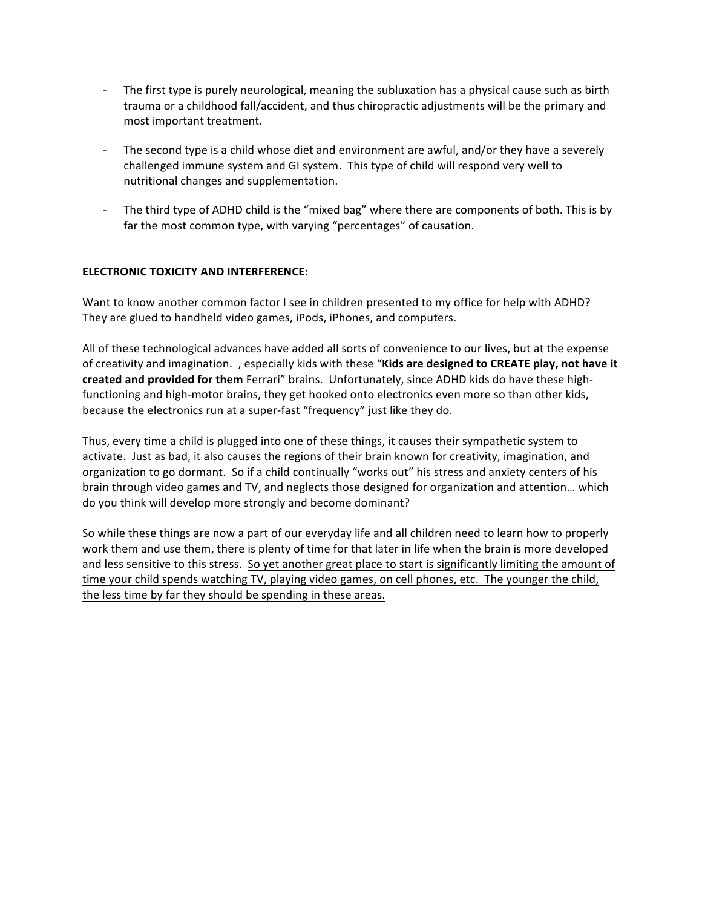- The first type is purely neurological, meaning the subluxation has a physical cause such as birth trauma or a childhood fall/accident, and thus chiropractic adjustments will be the primary and most important treatment.
- The second type is a child whose diet and environment are awful, and/or they have a severely challenged immune system and GI system. This type of child will respond very well to nutritional changes and supplementation.
- The third type of ADHD child is the "mixed bag" where there are components of both. This is by far the most common type, with varying "percentages" of causation.

### **ELECTRONIC TOXICITY AND INTERFERENCE:**

Want to know another common factor I see in children presented to my office for help with ADHD? They are glued to handheld video games, iPods, iPhones, and computers.

All of these technological advances have added all sorts of convenience to our lives, but at the expense of creativity and imagination. , especially kids with these "Kids are designed to CREATE play, not have it created and provided for them Ferrari" brains. Unfortunately, since ADHD kids do have these highfunctioning and high-motor brains, they get hooked onto electronics even more so than other kids, because the electronics run at a super-fast "frequency" just like they do.

Thus, every time a child is plugged into one of these things, it causes their sympathetic system to activate. Just as bad, it also causes the regions of their brain known for creativity, imagination, and organization to go dormant. So if a child continually "works out" his stress and anxiety centers of his brain through video games and TV, and neglects those designed for organization and attention... which do you think will develop more strongly and become dominant?

So while these things are now a part of our everyday life and all children need to learn how to properly work them and use them, there is plenty of time for that later in life when the brain is more developed and less sensitive to this stress. So yet another great place to start is significantly limiting the amount of time your child spends watching TV, playing video games, on cell phones, etc. The younger the child, the less time by far they should be spending in these areas.